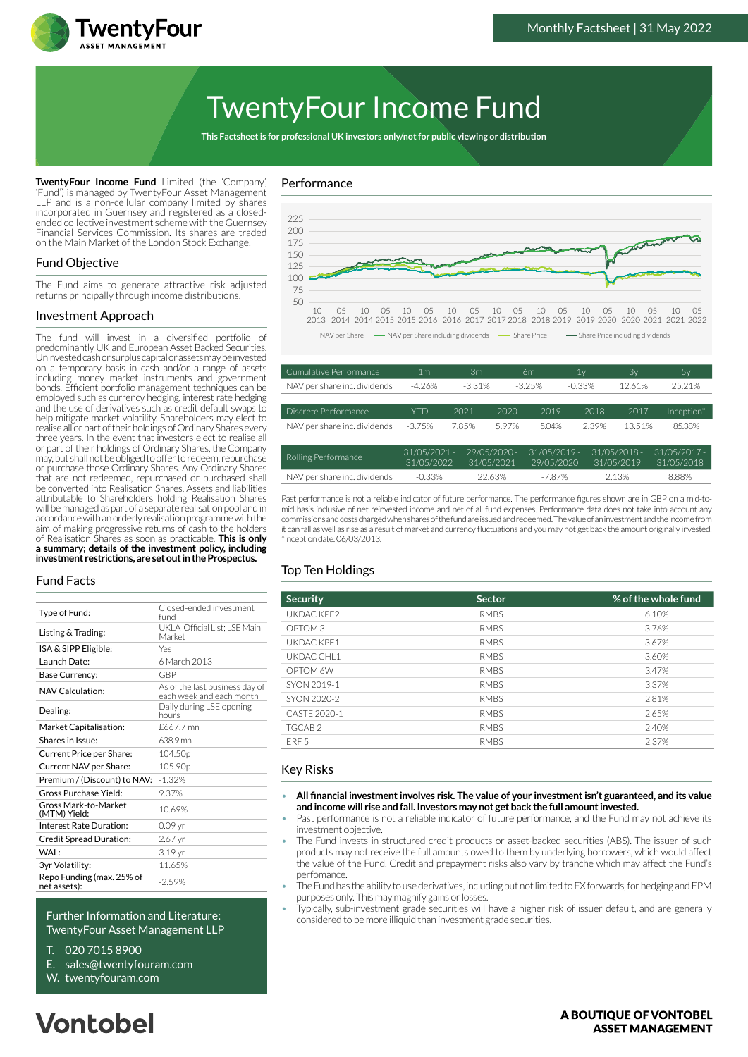

# TwentyFour Income Fund

**This Factsheet is for professional UK investors only/not for public viewing or distribution**

**TwentyFour Income Fund** Limited (the 'Company', 'Fund') is managed by TwentyFour Asset Management LLP and is a non-cellular company limited by shares incorporated in Guernsey and registered as a closedended collective investment scheme with the Guernsey Financial Services Commission. Its shares are traded on the Main Market of the London Stock Exchange.

# Fund Objective

The Fund aims to generate attractive risk adjusted returns principally through income distributions.

#### Investment Approach

The fund will invest in a diversified portfolio of predominantly UK and European Asset Backed Securities. Uninvested cash or surplus capital or assets may be invested on a temporary basis in cash and/or a range of assets including money market instruments and government bonds. Efficient portfolio management techniques can be employed such as currency hedging, interest rate hedging and the use of derivatives such as credit default swaps to help mitigate market volatility. Shareholders may elect to realise all or part of their holdings of Ordinary Shares every three years. In the event that investors elect to realise all or part of their holdings of Ordinary Shares, the Company may, but shall not be obliged to offer to redeem, repurchase or purchase those Ordinary Shares. Any Ordinary Shares that are not redeemed, repurchased or purchased shall be converted into Realisation Shares. Assets and liabilities attributable to Shareholders holding Realisation Shares will be managed as part of a separate realisation pool and in accordance with an orderly realisation programme with the aim of making progressive returns of cash to the holders of Realisation Shares as soon as practicable. **This is only a summary; details of the investment policy, including investment restrictions, are set out in the Prospectus.**

#### Fund Facts

| Type of Fund:                             | Closed-ended investment<br>fund                            |
|-------------------------------------------|------------------------------------------------------------|
| Listing & Trading:                        | UKLA Official List: LSE Main<br>Market                     |
| ISA & SIPP Eligible:                      | Yes                                                        |
| Launch Date:                              | 6 March 2013                                               |
| Base Currency:                            | GBP                                                        |
| NAV Calculation:                          | As of the last business day of<br>each week and each month |
| Dealing:                                  | Daily during LSE opening<br>hours                          |
| Market Capitalisation:                    | £667.7 mn                                                  |
| Shares in Issue:                          | 638.9 mn                                                   |
| Current Price per Share:                  | 104.50 <sub>p</sub>                                        |
| Current NAV per Share:                    | 105.90p                                                    |
| Premium / (Discount) to NAV:              | $-1.32%$                                                   |
| Gross Purchase Yield:                     | 9.37%                                                      |
| Gross Mark-to-Market<br>(MTM) Yield:      | 10.69%                                                     |
| Interest Rate Duration:                   | 0.09 <sub>vr</sub>                                         |
| <b>Credit Spread Duration:</b>            | 2.67 yr                                                    |
| WAL:                                      | 3.19 yr                                                    |
| 3yr Volatility:                           | 11.65%                                                     |
| Repo Funding (max. 25% of<br>net assets): | $-2.59%$                                                   |

#### Further Information and Literature: TwentyFour Asset Management LLP

- T. 020 7015 8900
- E. sales@twentyfouram.com
- W. [twentyfouram.com](http://www.twentyfouram.com)





| Cumulative Performance       | 1 <sub>m</sub>             | 3m       |                              | 6m                           | 1y        | 3v                           | 5y                           |
|------------------------------|----------------------------|----------|------------------------------|------------------------------|-----------|------------------------------|------------------------------|
| NAV per share inc. dividends | $-4.26%$                   | $-3.31%$ |                              | $-3.25%$                     | $-0.33\%$ | 12.61%                       | 25.21%                       |
|                              |                            |          |                              |                              |           |                              |                              |
| Discrete Performance         | <b>YTD</b>                 | 2021     | 2020                         | 2019                         | 2018      | 2017                         | Inception*                   |
| NAV per share inc. dividends | $-3.75%$                   | 7.85%    | 5.97%                        | 5.04%                        | 2.39%     | 13.51%                       | 85.38%                       |
|                              |                            |          |                              |                              |           |                              |                              |
| Rolling Performance          | 31/05/2021 -<br>31/05/2022 |          | $29/05/2020 -$<br>31/05/2021 | $31/05/2019$ -<br>29/05/2020 |           | $31/05/2018 -$<br>31/05/2019 | $31/05/2017 -$<br>31/05/2018 |
| NAV per share inc. dividends | $-0.33%$                   |          | 22.63%                       | $-7.87%$                     |           | 2.13%                        | 8.88%                        |

Past performance is not a reliable indicator of future performance. The performance figures shown are in GBP on a mid-tomid basis inclusive of net reinvested income and net of all fund expenses. Performance data does not take into account any commissions and costs charged when shares of the fund are issued and redeemed. The value of an investment and the income from it can fall as well as rise as a result of market and currency fluctuations and you may not get back the amount originally invested. \*Inception date: 06/03/2013.

# Top Ten Holdings

| <b>Security</b>    | <b>Sector</b> | % of the whole fund |
|--------------------|---------------|---------------------|
| UKDAC KPF2         | <b>RMBS</b>   | 6.10%               |
| OPTOM <sub>3</sub> | <b>RMBS</b>   | 3.76%               |
| UKDAC KPF1         | <b>RMBS</b>   | 3.67%               |
| UKDAC CHL1         | <b>RMBS</b>   | 3.60%               |
| OPTOM 6W           | <b>RMBS</b>   | 3.47%               |
| SYON 2019-1        | <b>RMBS</b>   | 3.37%               |
| SYON 2020-2        | <b>RMBS</b>   | 2.81%               |
| CASTF 2020-1       | <b>RMBS</b>   | 2.65%               |
| TGCAB <sub>2</sub> | <b>RMBS</b>   | 2.40%               |
| FRF <sub>5</sub>   | <b>RMBS</b>   | 2.37%               |

# Key Risks

- **All financial investment involves risk. The value of your investment isn't guaranteed, and its value and income will rise and fall. Investors may not get back the full amount invested.**
- Past performance is not a reliable indicator of future performance, and the Fund may not achieve its investment objective.
- The Fund invests in structured credit products or asset-backed securities (ABS). The issuer of such products may not receive the full amounts owed to them by underlying borrowers, which would affect the value of the Fund. Credit and prepayment risks also vary by tranche which may affect the Fund's perfomance.
- The Fund has the ability to use derivatives, including but not limited to FX forwards, for hedging and EPM purposes only. This may magnify gains or losses.
- Typically, sub-investment grade securities will have a higher risk of issuer default, and are generally considered to be more illiquid than investment grade securities.